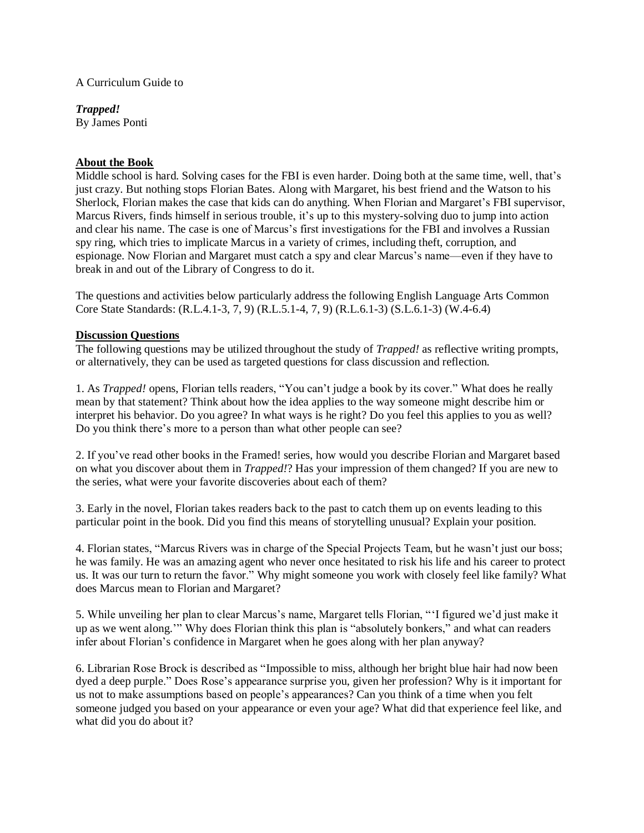## A Curriculum Guide to

*Trapped!* By James Ponti

## **About the Book**

Middle school is hard. Solving cases for the FBI is even harder. Doing both at the same time, well, that's just crazy. But nothing stops Florian Bates. Along with Margaret, his best friend and the Watson to his Sherlock, Florian makes the case that kids can do anything. When Florian and Margaret's FBI supervisor, Marcus Rivers, finds himself in serious trouble, it's up to this mystery-solving duo to jump into action and clear his name. The case is one of Marcus's first investigations for the FBI and involves a Russian spy ring, which tries to implicate Marcus in a variety of crimes, including theft, corruption, and espionage. Now Florian and Margaret must catch a spy and clear Marcus's name—even if they have to break in and out of the Library of Congress to do it.

The questions and activities below particularly address the following English Language Arts Common Core State Standards: (R.L.4.1-3, 7, 9) (R.L.5.1-4, 7, 9) (R.L.6.1-3) (S.L.6.1-3) (W.4-6.4)

## **Discussion Questions**

The following questions may be utilized throughout the study of *Trapped!* as reflective writing prompts, or alternatively, they can be used as targeted questions for class discussion and reflection.

1. As *Trapped!* opens, Florian tells readers, "You can't judge a book by its cover." What does he really mean by that statement? Think about how the idea applies to the way someone might describe him or interpret his behavior. Do you agree? In what ways is he right? Do you feel this applies to you as well? Do you think there's more to a person than what other people can see?

2. If you've read other books in the Framed! series, how would you describe Florian and Margaret based on what you discover about them in *Trapped!*? Has your impression of them changed? If you are new to the series, what were your favorite discoveries about each of them?

3. Early in the novel, Florian takes readers back to the past to catch them up on events leading to this particular point in the book. Did you find this means of storytelling unusual? Explain your position.

4. Florian states, "Marcus Rivers was in charge of the Special Projects Team, but he wasn't just our boss; he was family. He was an amazing agent who never once hesitated to risk his life and his career to protect us. It was our turn to return the favor." Why might someone you work with closely feel like family? What does Marcus mean to Florian and Margaret?

5. While unveiling her plan to clear Marcus's name, Margaret tells Florian, "'I figured we'd just make it up as we went along.'" Why does Florian think this plan is "absolutely bonkers," and what can readers infer about Florian's confidence in Margaret when he goes along with her plan anyway?

6. Librarian Rose Brock is described as "Impossible to miss, although her bright blue hair had now been dyed a deep purple." Does Rose's appearance surprise you, given her profession? Why is it important for us not to make assumptions based on people's appearances? Can you think of a time when you felt someone judged you based on your appearance or even your age? What did that experience feel like, and what did you do about it?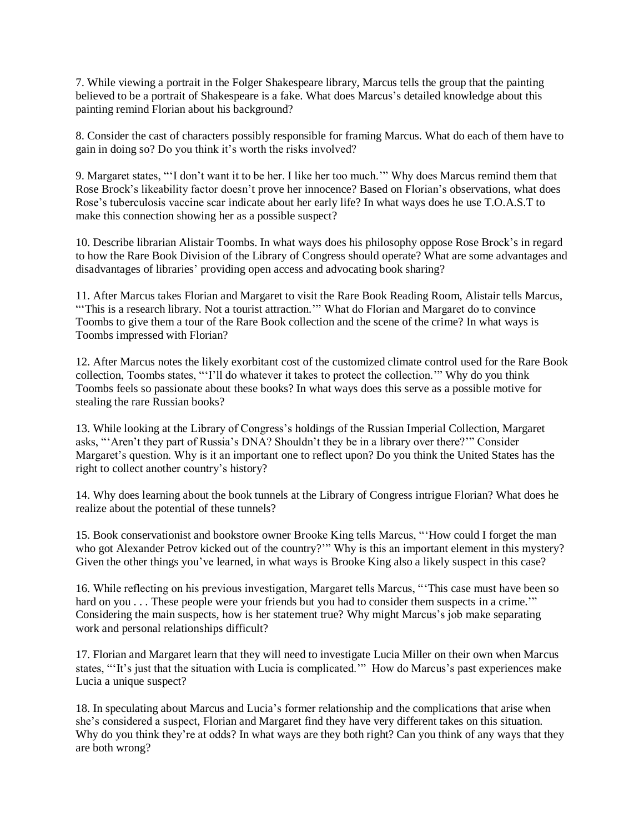7. While viewing a portrait in the Folger Shakespeare library, Marcus tells the group that the painting believed to be a portrait of Shakespeare is a fake. What does Marcus's detailed knowledge about this painting remind Florian about his background?

8. Consider the cast of characters possibly responsible for framing Marcus. What do each of them have to gain in doing so? Do you think it's worth the risks involved?

9. Margaret states, "'I don't want it to be her. I like her too much.'" Why does Marcus remind them that Rose Brock's likeability factor doesn't prove her innocence? Based on Florian's observations, what does Rose's tuberculosis vaccine scar indicate about her early life? In what ways does he use T.O.A.S.T to make this connection showing her as a possible suspect?

10. Describe librarian Alistair Toombs. In what ways does his philosophy oppose Rose Brock's in regard to how the Rare Book Division of the Library of Congress should operate? What are some advantages and disadvantages of libraries' providing open access and advocating book sharing?

11. After Marcus takes Florian and Margaret to visit the Rare Book Reading Room, Alistair tells Marcus, "This is a research library. Not a tourist attraction." What do Florian and Margaret do to convince Toombs to give them a tour of the Rare Book collection and the scene of the crime? In what ways is Toombs impressed with Florian?

12. After Marcus notes the likely exorbitant cost of the customized climate control used for the Rare Book collection, Toombs states, "'I'll do whatever it takes to protect the collection.'" Why do you think Toombs feels so passionate about these books? In what ways does this serve as a possible motive for stealing the rare Russian books?

13. While looking at the Library of Congress's holdings of the Russian Imperial Collection, Margaret asks, "'Aren't they part of Russia's DNA? Shouldn't they be in a library over there?'" Consider Margaret's question. Why is it an important one to reflect upon? Do you think the United States has the right to collect another country's history?

14. Why does learning about the book tunnels at the Library of Congress intrigue Florian? What does he realize about the potential of these tunnels?

15. Book conservationist and bookstore owner Brooke King tells Marcus, "'How could I forget the man who got Alexander Petrov kicked out of the country?"" Why is this an important element in this mystery? Given the other things you've learned, in what ways is Brooke King also a likely suspect in this case?

16. While reflecting on his previous investigation, Margaret tells Marcus, "'This case must have been so hard on you . . . These people were your friends but you had to consider them suspects in a crime." Considering the main suspects, how is her statement true? Why might Marcus's job make separating work and personal relationships difficult?

17. Florian and Margaret learn that they will need to investigate Lucia Miller on their own when Marcus states, "'It's just that the situation with Lucia is complicated.'" How do Marcus's past experiences make Lucia a unique suspect?

18. In speculating about Marcus and Lucia's former relationship and the complications that arise when she's considered a suspect, Florian and Margaret find they have very different takes on this situation. Why do you think they're at odds? In what ways are they both right? Can you think of any ways that they are both wrong?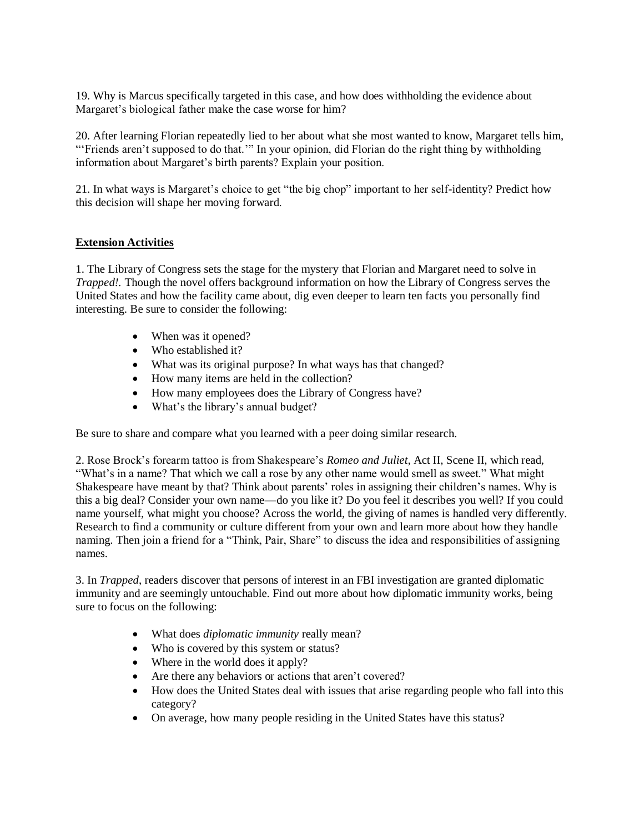19. Why is Marcus specifically targeted in this case, and how does withholding the evidence about Margaret's biological father make the case worse for him?

20. After learning Florian repeatedly lied to her about what she most wanted to know, Margaret tells him, "'Friends aren't supposed to do that."" In your opinion, did Florian do the right thing by withholding information about Margaret's birth parents? Explain your position.

21. In what ways is Margaret's choice to get "the big chop" important to her self-identity? Predict how this decision will shape her moving forward.

## **Extension Activities**

1. The Library of Congress sets the stage for the mystery that Florian and Margaret need to solve in *Trapped!.* Though the novel offers background information on how the Library of Congress serves the United States and how the facility came about, dig even deeper to learn ten facts you personally find interesting. Be sure to consider the following:

- When was it opened?
- Who established it?
- What was its original purpose? In what ways has that changed?
- How many items are held in the collection?
- How many employees does the Library of Congress have?
- What's the library's annual budget?

Be sure to share and compare what you learned with a peer doing similar research.

2. Rose Brock's forearm tattoo is from Shakespeare's *Romeo and Juliet,* Act II, Scene II, which read, "What's in a name? That which we call a rose by any other name would smell as sweet." What might Shakespeare have meant by that? Think about parents' roles in assigning their children's names. Why is this a big deal? Consider your own name—do you like it? Do you feel it describes you well? If you could name yourself, what might you choose? Across the world, the giving of names is handled very differently. Research to find a community or culture different from your own and learn more about how they handle naming. Then join a friend for a "Think, Pair, Share" to discuss the idea and responsibilities of assigning names.

3. In *Trapped*, readers discover that persons of interest in an FBI investigation are granted diplomatic immunity and are seemingly untouchable. Find out more about how diplomatic immunity works, being sure to focus on the following:

- What does *diplomatic immunity* really mean?
- Who is covered by this system or status?
- Where in the world does it apply?
- Are there any behaviors or actions that aren't covered?
- How does the United States deal with issues that arise regarding people who fall into this category?
- On average, how many people residing in the United States have this status?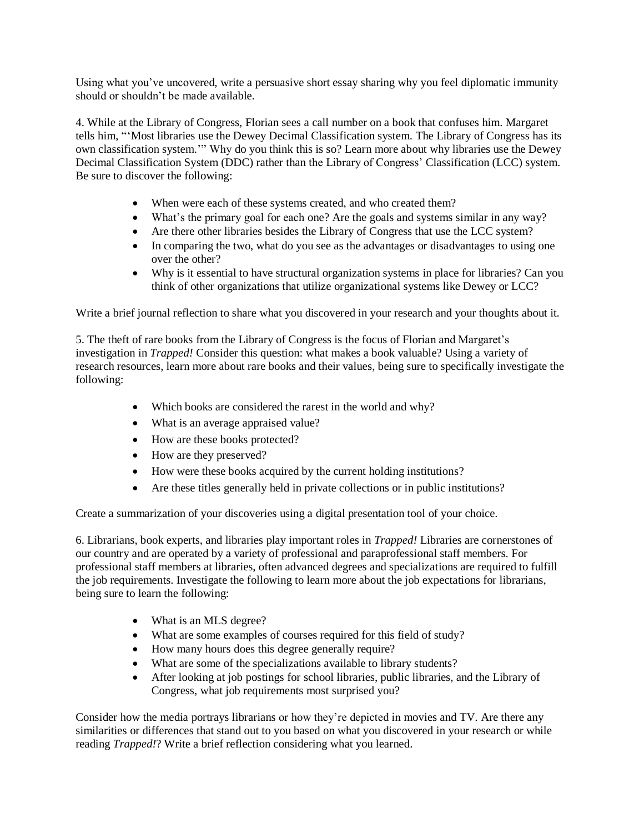Using what you've uncovered, write a persuasive short essay sharing why you feel diplomatic immunity should or shouldn't be made available.

4. While at the Library of Congress, Florian sees a call number on a book that confuses him. Margaret tells him, "'Most libraries use the Dewey Decimal Classification system. The Library of Congress has its own classification system.'" Why do you think this is so? Learn more about why libraries use the Dewey Decimal Classification System (DDC) rather than the Library of Congress' Classification (LCC) system. Be sure to discover the following:

- When were each of these systems created, and who created them?
- What's the primary goal for each one? Are the goals and systems similar in any way?
- Are there other libraries besides the Library of Congress that use the LCC system?
- In comparing the two, what do you see as the advantages or disadvantages to using one over the other?
- Why is it essential to have structural organization systems in place for libraries? Can you think of other organizations that utilize organizational systems like Dewey or LCC?

Write a brief journal reflection to share what you discovered in your research and your thoughts about it.

5. The theft of rare books from the Library of Congress is the focus of Florian and Margaret's investigation in *Trapped!* Consider this question: what makes a book valuable? Using a variety of research resources, learn more about rare books and their values, being sure to specifically investigate the following:

- Which books are considered the rarest in the world and why?
- What is an average appraised value?
- How are these books protected?
- How are they preserved?
- How were these books acquired by the current holding institutions?
- Are these titles generally held in private collections or in public institutions?

Create a summarization of your discoveries using a digital presentation tool of your choice.

6. Librarians, book experts, and libraries play important roles in *Trapped!* Libraries are cornerstones of our country and are operated by a variety of professional and paraprofessional staff members. For professional staff members at libraries, often advanced degrees and specializations are required to fulfill the job requirements. Investigate the following to learn more about the job expectations for librarians, being sure to learn the following:

- What is an MLS degree?
- What are some examples of courses required for this field of study?
- How many hours does this degree generally require?
- What are some of the specializations available to library students?
- After looking at job postings for school libraries, public libraries, and the Library of Congress, what job requirements most surprised you?

Consider how the media portrays librarians or how they're depicted in movies and TV. Are there any similarities or differences that stand out to you based on what you discovered in your research or while reading *Trapped!*? Write a brief reflection considering what you learned.